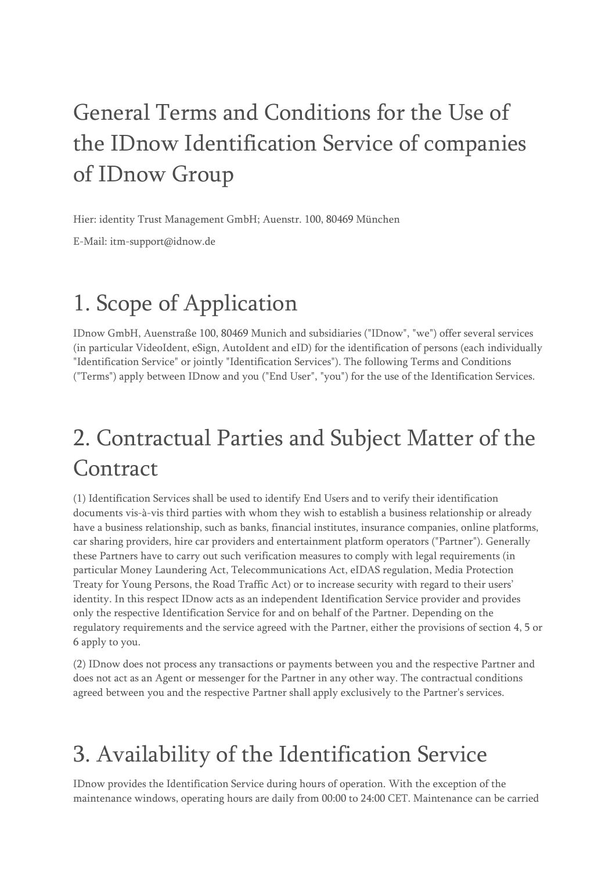# General Terms and Conditions for the Use of the IDnow Identification Service of companies of IDnow Group

Hier: identity Trust Management GmbH; Auenstr. 100, 80469 München

E-Mail: itm-support@idnow.de

# 1. Scope of Application

IDnow GmbH, Auenstraße 100, 80469 Munich and subsidiaries ("IDnow", "we") offer several services (in particular VideoIdent, eSign, AutoIdent and eID) for the identification of persons (each individually "Identification Service" or jointly "Identification Services"). The following Terms and Conditions ("Terms") apply between IDnow and you ("End User", "you") for the use of the Identification Services.

# 2. Contractual Parties and Subject Matter of the Contract

(1) Identification Services shall be used to identify End Users and to verify their identification documents vis-à-vis third parties with whom they wish to establish a business relationship or already have a business relationship, such as banks, financial institutes, insurance companies, online platforms, car sharing providers, hire car providers and entertainment platform operators ("Partner"). Generally these Partners have to carry out such verification measures to comply with legal requirements (in particular Money Laundering Act, Telecommunications Act, eIDAS regulation, Media Protection Treaty for Young Persons, the Road Traffic Act) or to increase security with regard to their users' identity. In this respect IDnow acts as an independent Identification Service provider and provides only the respective Identification Service for and on behalf of the Partner. Depending on the regulatory requirements and the service agreed with the Partner, either the provisions of section 4, 5 or 6 apply to you.

(2) IDnow does not process any transactions or payments between you and the respective Partner and does not act as an Agent or messenger for the Partner in any other way. The contractual conditions agreed between you and the respective Partner shall apply exclusively to the Partner's services.

## 3. Availability of the Identification Service

IDnow provides the Identification Service during hours of operation. With the exception of the maintenance windows, operating hours are daily from 00:00 to 24:00 CET. Maintenance can be carried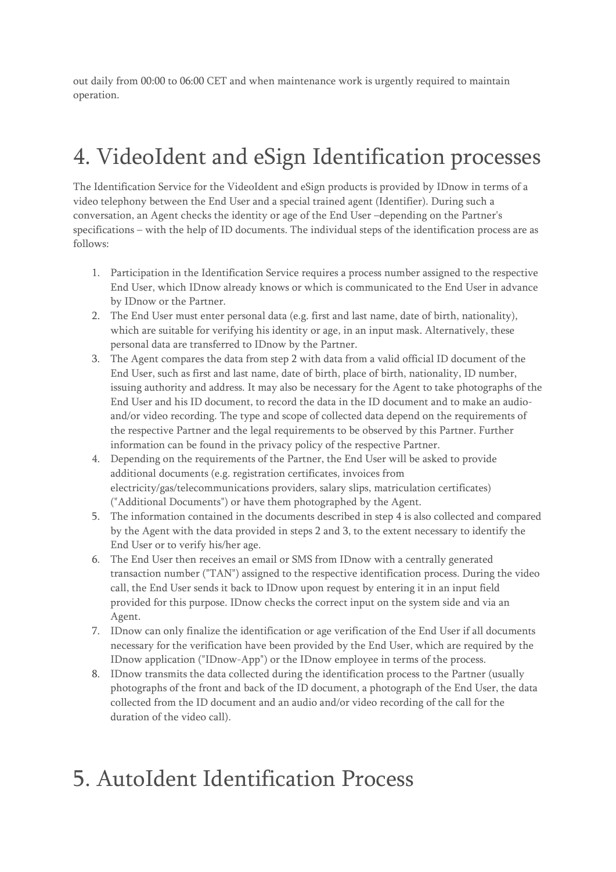out daily from 00:00 to 06:00 CET and when maintenance work is urgently required to maintain operation.

## 4. VideoIdent and eSign Identification processes

The Identification Service for the VideoIdent and eSign products is provided by IDnow in terms of a video telephony between the End User and a special trained agent (Identifier). During such a conversation, an Agent checks the identity or age of the End User –depending on the Partner's specifications – with the help of ID documents. The individual steps of the identification process are as follows:

- 1. Participation in the Identification Service requires a process number assigned to the respective End User, which IDnow already knows or which is communicated to the End User in advance by IDnow or the Partner.
- 2. The End User must enter personal data (e.g. first and last name, date of birth, nationality), which are suitable for verifying his identity or age, in an input mask. Alternatively, these personal data are transferred to IDnow by the Partner.
- 3. The Agent compares the data from step 2 with data from a valid official ID document of the End User, such as first and last name, date of birth, place of birth, nationality, ID number, issuing authority and address. It may also be necessary for the Agent to take photographs of the End User and his ID document, to record the data in the ID document and to make an audioand/or video recording. The type and scope of collected data depend on the requirements of the respective Partner and the legal requirements to be observed by this Partner. Further information can be found in the privacy policy of the respective Partner.
- 4. Depending on the requirements of the Partner, the End User will be asked to provide additional documents (e.g. registration certificates, invoices from electricity/gas/telecommunications providers, salary slips, matriculation certificates) ("Additional Documents") or have them photographed by the Agent.
- 5. The information contained in the documents described in step 4 is also collected and compared by the Agent with the data provided in steps 2 and 3, to the extent necessary to identify the End User or to verify his/her age.
- 6. The End User then receives an email or SMS from IDnow with a centrally generated transaction number ("TAN") assigned to the respective identification process. During the video call, the End User sends it back to IDnow upon request by entering it in an input field provided for this purpose. IDnow checks the correct input on the system side and via an Agent.
- 7. IDnow can only finalize the identification or age verification of the End User if all documents necessary for the verification have been provided by the End User, which are required by the IDnow application ("IDnow-App") or the IDnow employee in terms of the process.
- 8. IDnow transmits the data collected during the identification process to the Partner (usually photographs of the front and back of the ID document, a photograph of the End User, the data collected from the ID document and an audio and/or video recording of the call for the duration of the video call).

### 5. AutoIdent Identification Process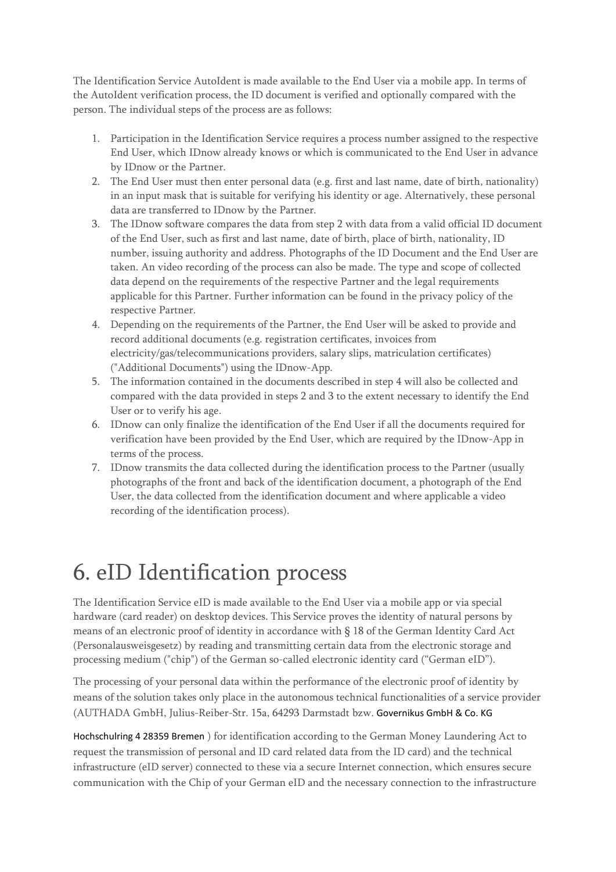The Identification Service AutoIdent is made available to the End User via a mobile app. In terms of the AutoIdent verification process, the ID document is verified and optionally compared with the person. The individual steps of the process are as follows:

- 1. Participation in the Identification Service requires a process number assigned to the respective End User, which IDnow already knows or which is communicated to the End User in advance by IDnow or the Partner.
- 2. The End User must then enter personal data (e.g. first and last name, date of birth, nationality) in an input mask that is suitable for verifying his identity or age. Alternatively, these personal data are transferred to IDnow by the Partner.
- 3. The IDnow software compares the data from step 2 with data from a valid official ID document of the End User, such as first and last name, date of birth, place of birth, nationality, ID number, issuing authority and address. Photographs of the ID Document and the End User are taken. An video recording of the process can also be made. The type and scope of collected data depend on the requirements of the respective Partner and the legal requirements applicable for this Partner. Further information can be found in the privacy policy of the respective Partner.
- 4. Depending on the requirements of the Partner, the End User will be asked to provide and record additional documents (e.g. registration certificates, invoices from electricity/gas/telecommunications providers, salary slips, matriculation certificates) ("Additional Documents") using the IDnow-App.
- 5. The information contained in the documents described in step 4 will also be collected and compared with the data provided in steps 2 and 3 to the extent necessary to identify the End User or to verify his age.
- 6. IDnow can only finalize the identification of the End User if all the documents required for verification have been provided by the End User, which are required by the IDnow-App in terms of the process.
- 7. IDnow transmits the data collected during the identification process to the Partner (usually photographs of the front and back of the identification document, a photograph of the End User, the data collected from the identification document and where applicable a video recording of the identification process).

## 6. eID Identification process

The Identification Service eID is made available to the End User via a mobile app or via special hardware (card reader) on desktop devices. This Service proves the identity of natural persons by means of an electronic proof of identity in accordance with § 18 of the German Identity Card Act (Personalausweisgesetz) by reading and transmitting certain data from the electronic storage and processing medium ("chip") of the German so-called electronic identity card ("German eID").

The processing of your personal data within the performance of the electronic proof of identity by means of the solution takes only place in the autonomous technical functionalities of a service provider (AUTHADA GmbH, Julius-Reiber-Str. 15a, 64293 Darmstadt bzw. Governikus GmbH & Co. KG

Hochschulring 4 28359 Bremen ) for identification according to the German Money Laundering Act to request the transmission of personal and ID card related data from the ID card) and the technical infrastructure (eID server) connected to these via a secure Internet connection, which ensures secure communication with the Chip of your German eID and the necessary connection to the infrastructure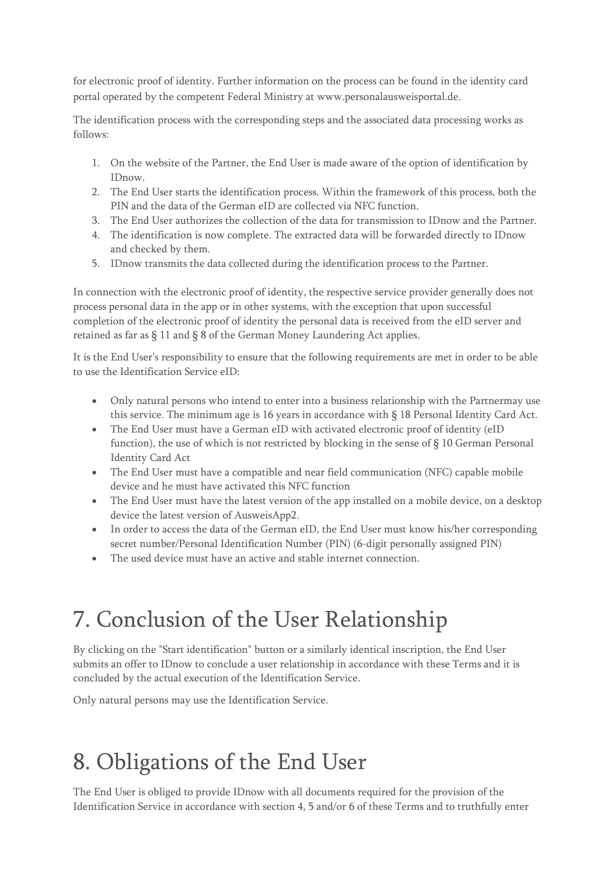for electronic proof of identity. Further information on the process can be found in the identity card portal operated by the competent Federal Ministry at www.personalausweisportal.de.

The identification process with the corresponding steps and the associated data processing works as follows:

- 1. On the website of the Partner, the End User is made aware of the option of identification by IDnow.
- 2. The End User starts the identification process. Within the framework of this process, both the PIN and the data of the German eID are collected via NFC function.
- 3. The End User authorizes the collection of the data for transmission to IDnow and the Partner.
- 4. The identification is now complete. The extracted data will be forwarded directly to IDnow and checked by them.
- 5. IDnow transmits the data collected during the identification process to the Partner.

In connection with the electronic proof of identity, the respective service provider generally does not process personal data in the app or in other systems, with the exception that upon successful completion of the electronic proof of identity the personal data is received from the eID server and retained as far as § 11 and § 8 of the German Money Laundering Act applies.

It is the End User's responsibility to ensure that the following requirements are met in order to be able to use the Identification Service eID:

- Only natural persons who intend to enter into a business relationship with the Partnermay use this service. The minimum age is 16 years in accordance with § 18 Personal Identity Card Act.
- The End User must have a German eID with activated electronic proof of identity (eID function), the use of which is not restricted by blocking in the sense of § 10 German Personal Identity Card Act
- The End User must have a compatible and near field communication (NFC) capable mobile device and he must have activated this NFC function
- The End User must have the latest version of the app installed on a mobile device, on a desktop device the latest version of AusweisApp2.
- In order to access the data of the German eID, the End User must know his/her corresponding secret number/Personal Identification Number (PIN) (6-digit personally assigned PIN)
- The used device must have an active and stable internet connection.

## 7. Conclusion of the User Relationship

By clicking on the "Start identification" button or a similarly identical inscription, the End User submits an offer to IDnow to conclude a user relationship in accordance with these Terms and it is concluded by the actual execution of the Identification Service.

Only natural persons may use the Identification Service.

## 8. Obligations of the End User

The End User is obliged to provide IDnow with all documents required for the provision of the Identification Service in accordance with section 4, 5 and/or 6 of these Terms and to truthfully enter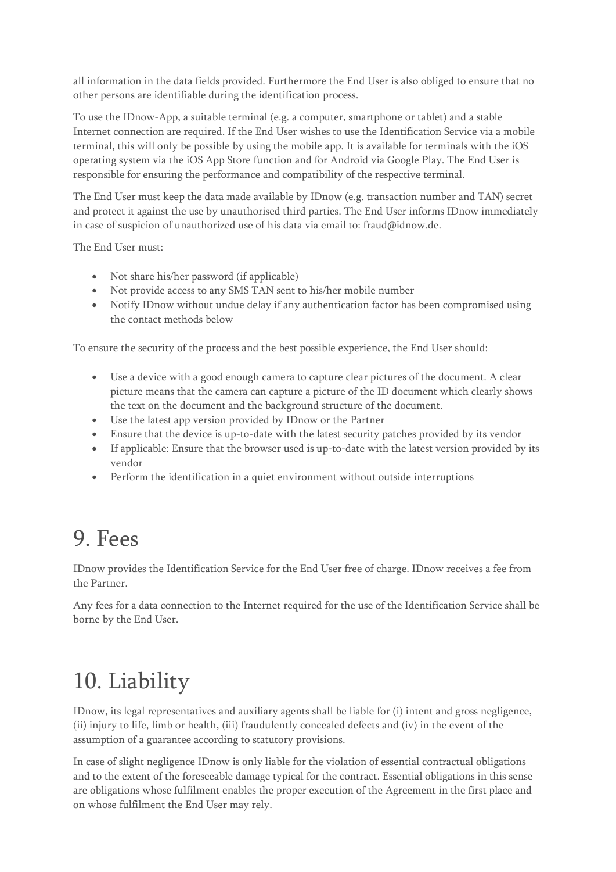all information in the data fields provided. Furthermore the End User is also obliged to ensure that no other persons are identifiable during the identification process.

To use the IDnow-App, a suitable terminal (e.g. a computer, smartphone or tablet) and a stable Internet connection are required. If the End User wishes to use the Identification Service via a mobile terminal, this will only be possible by using the mobile app. It is available for terminals with the iOS operating system via the iOS App Store function and for Android via Google Play. The End User is responsible for ensuring the performance and compatibility of the respective terminal.

The End User must keep the data made available by IDnow (e.g. transaction number and TAN) secret and protect it against the use by unauthorised third parties. The End User informs IDnow immediately in case of suspicion of unauthorized use of his data via email to: fraud@idnow.de.

The End User must:

- Not share his/her password (if applicable)
- Not provide access to any SMS TAN sent to his/her mobile number
- Notify IDnow without undue delay if any authentication factor has been compromised using the contact methods below

To ensure the security of the process and the best possible experience, the End User should:

- Use a device with a good enough camera to capture clear pictures of the document. A clear picture means that the camera can capture a picture of the ID document which clearly shows the text on the document and the background structure of the document.
- Use the latest app version provided by IDnow or the Partner
- Ensure that the device is up-to-date with the latest security patches provided by its vendor
- If applicable: Ensure that the browser used is up-to-date with the latest version provided by its vendor
- Perform the identification in a quiet environment without outside interruptions

### 9. Fees

IDnow provides the Identification Service for the End User free of charge. IDnow receives a fee from the Partner.

Any fees for a data connection to the Internet required for the use of the Identification Service shall be borne by the End User.

## 10. Liability

IDnow, its legal representatives and auxiliary agents shall be liable for (i) intent and gross negligence, (ii) injury to life, limb or health, (iii) fraudulently concealed defects and (iv) in the event of the assumption of a guarantee according to statutory provisions.

In case of slight negligence IDnow is only liable for the violation of essential contractual obligations and to the extent of the foreseeable damage typical for the contract. Essential obligations in this sense are obligations whose fulfilment enables the proper execution of the Agreement in the first place and on whose fulfilment the End User may rely.